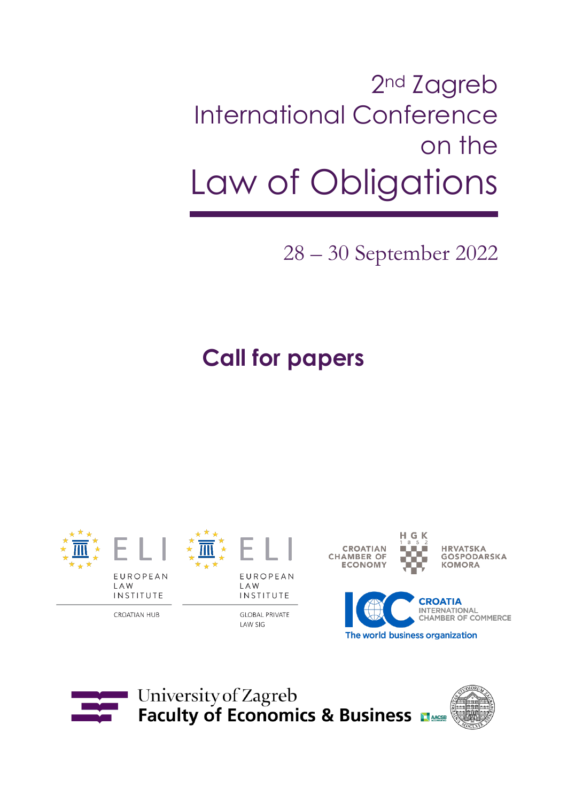# 2<sup>nd</sup> Zagreb International Conference on the Law of Obligations

28 – 30 September 2022

**Call for papers**



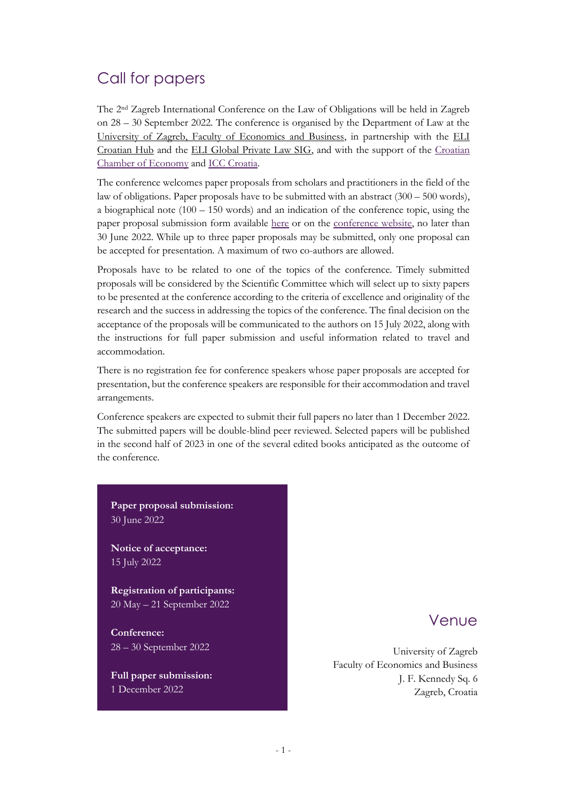# Call for papers

The 2nd Zagreb International Conference on the Law of Obligations will be held in Zagreb on 28 – 30 September 2022. The conference is organised by the Department of Law at the University of Zagreb, [Faculty of Economics and Business,](http://www.efzg.unizg.hr/en) in partnership with the [ELI](https://www.europeanlawinstitute.eu/hubs-sigs/hubs/croatian-hub/)  [Croatian Hub](https://www.europeanlawinstitute.eu/hubs-sigs/hubs/croatian-hub/) and the [ELI Global Private Law SIG,](https://www.europeanlawinstitute.eu/hubs-sigs/sigs/global-private-law-sig/) and with the support of the [Croatian](https://hgk.hr/)  [Chamber of Economy](https://hgk.hr/) and [ICC Croatia.](http://www2.hgk.hr/icc/)

The conference welcomes paper proposals from scholars and practitioners in the field of the law of obligations. Paper proposals have to be submitted with an abstract (300 – 500 words), a biographical note  $(100 - 150 \text{ words})$  and an indication of the conference topic, using the paper proposal submission form available [here](https://forms.gle/4rg73byNReigfgvm7) or on the [conference website,](https://lawofobligations.net.efzg.hr/) no later than 30 June 2022. While up to three paper proposals may be submitted, only one proposal can be accepted for presentation. A maximum of two co-authors are allowed.

Proposals have to be related to one of the topics of the conference. Timely submitted proposals will be considered by the Scientific Committee which will select up to sixty papers to be presented at the conference according to the criteria of excellence and originality of the research and the success in addressing the topics of the conference. The final decision on the acceptance of the proposals will be communicated to the authors on 15 July 2022, along with the instructions for full paper submission and useful information related to travel and accommodation.

There is no registration fee for conference speakers whose paper proposals are accepted for presentation, but the conference speakers are responsible for their accommodation and travel arrangements.

Conference speakers are expected to submit their full papers no later than 1 December 2022. The submitted papers will be double-blind peer reviewed. Selected papers will be published in the second half of 2023 in one of the several edited books anticipated as the outcome of the conference.

**Paper proposal submission:** 30 June 2022

**Notice of acceptance:** 15 July 2022

**Registration of participants:** 20 May – 21 September 2022

**Conference:**  28 – 30 September 2022

**Full paper submission:** 1 December 2022

### Venue

University of Zagreb Faculty of Economics and Business J. F. Kennedy Sq. 6 Zagreb, Croatia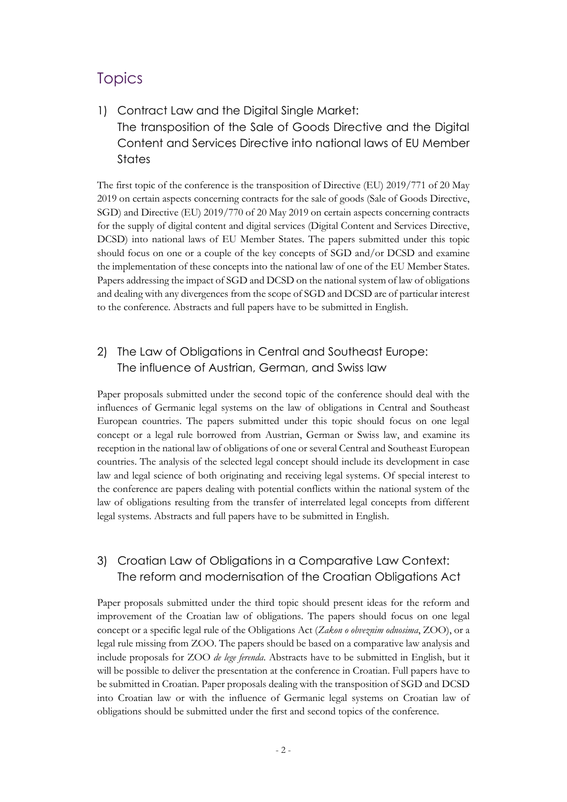## **Topics**

1) Contract Law and the Digital Single Market: The transposition of the Sale of Goods Directive and the Digital Content and Services Directive into national laws of EU Member **States** 

The first topic of the conference is the transposition of Directive (EU) 2019/771 of 20 May 2019 on certain aspects concerning contracts for the sale of goods (Sale of Goods Directive, SGD) and Directive (EU) 2019/770 of 20 May 2019 on certain aspects concerning contracts for the supply of digital content and digital services (Digital Content and Services Directive, DCSD) into national laws of EU Member States. The papers submitted under this topic should focus on one or a couple of the key concepts of SGD and/or DCSD and examine the implementation of these concepts into the national law of one of the EU Member States. Papers addressing the impact of SGD and DCSD on the national system of law of obligations and dealing with any divergences from the scope of SGD and DCSD are of particular interest to the conference. Abstracts and full papers have to be submitted in English.

### 2) The Law of Obligations in Central and Southeast Europe: The influence of Austrian, German, and Swiss law

Paper proposals submitted under the second topic of the conference should deal with the influences of Germanic legal systems on the law of obligations in Central and Southeast European countries. The papers submitted under this topic should focus on one legal concept or a legal rule borrowed from Austrian, German or Swiss law, and examine its reception in the national law of obligations of one or several Central and Southeast European countries. The analysis of the selected legal concept should include its development in case law and legal science of both originating and receiving legal systems. Of special interest to the conference are papers dealing with potential conflicts within the national system of the law of obligations resulting from the transfer of interrelated legal concepts from different legal systems. Abstracts and full papers have to be submitted in English.

### 3) Croatian Law of Obligations in a Comparative Law Context: The reform and modernisation of the Croatian Obligations Act

Paper proposals submitted under the third topic should present ideas for the reform and improvement of the Croatian law of obligations. The papers should focus on one legal concept or a specific legal rule of the Obligations Act (*Zakon o obveznim odnosima*, ZOO), or a legal rule missing from ZOO. The papers should be based on a comparative law analysis and include proposals for ZOO *de lege ferenda*. Abstracts have to be submitted in English, but it will be possible to deliver the presentation at the conference in Croatian. Full papers have to be submitted in Croatian. Paper proposals dealing with the transposition of SGD and DCSD into Croatian law or with the influence of Germanic legal systems on Croatian law of obligations should be submitted under the first and second topics of the conference.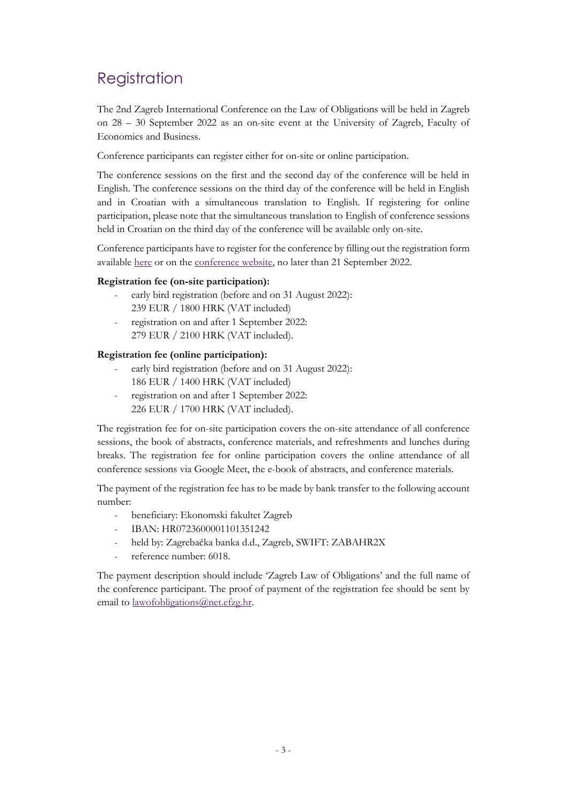# Registration

The 2nd Zagreb International Conference on the Law of Obligations will be held in Zagreb on 28 – 30 September 2022 as an on-site event at the University of Zagreb, Faculty of Economics and Business.

Conference participants can register either for on-site or online participation.

The conference sessions on the first and the second day of the conference will be held in English. The conference sessions on the third day of the conference will be held in English and in Croatian with a simultaneous translation to English. If registering for online participation, please note that the simultaneous translation to English of conference sessions held in Croatian on the third day of the conference will be available only on-site.

Conference participants have to register for the conference by filling out the registration form available [here](https://forms.gle/ZSSA7V2yXjZvfwDt8) or on the [conference website,](https://lawofobligations.net.efzg.hr/) no later than 21 September 2022.

### **Registration fee (on-site participation):**

- early bird registration (before and on 31 August 2022): 239 EUR / 1800 HRK (VAT included)
- registration on and after 1 September 2022: 279 EUR / 2100 HRK (VAT included).

### **Registration fee (online participation):**

- early bird registration (before and on 31 August 2022): 186 EUR / 1400 HRK (VAT included)
- registration on and after 1 September 2022: 226 EUR / 1700 HRK (VAT included).

The registration fee for on-site participation covers the on-site attendance of all conference sessions, the book of abstracts, conference materials, and refreshments and lunches during breaks. The registration fee for online participation covers the online attendance of all conference sessions via Google Meet, the e-book of abstracts, and conference materials.

The payment of the registration fee has to be made by bank transfer to the following account number:

- beneficiary: Ekonomski fakultet Zagreb
- IBAN: HR0723600001101351242
- held by: Zagrebačka banka d.d., Zagreb, SWIFT: ZABAHR2X
- reference number: 6018.

The payment description should include 'Zagreb Law of Obligations' and the full name of the conference participant. The proof of payment of the registration fee should be sent by email to [lawofobligations@net.efzg.hr.](file:///G:/My%20Drive/%23zagreblawofobligations/2022/CFP/lawofobligations@net.efzg.hr)